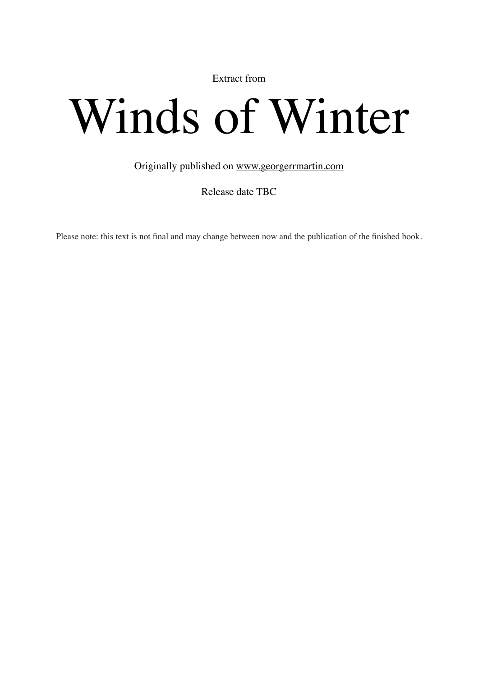Extract from

## Winds of Winter

Originally published on [www.georgerrmartin.com](http://www.georgerrmartin.com)

Release date TBC

Please note: this text is not final and may change between now and the publication of the finished book.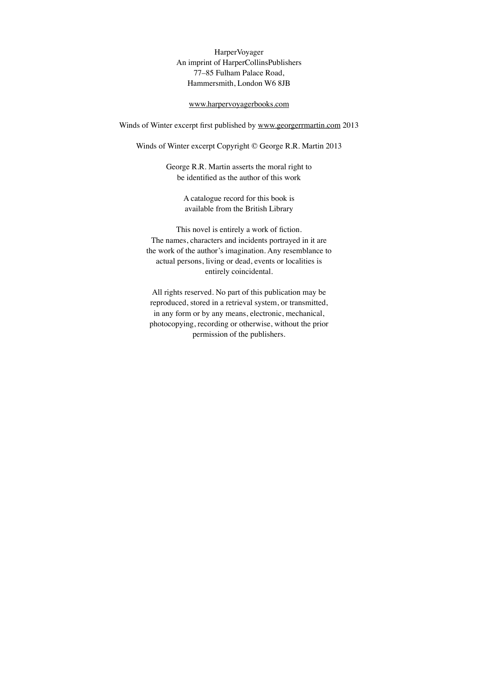HarperVoyager An imprint of HarperCollinsPublishers 77–85 Fulham Palace Road, Hammersmith, London W6 8JB

## [www.harpervoyagerbooks.com](http://www.harpervoyagerbooks.com)

Winds of Winter excerpt first published by [www.georgerrmartin.com](http://www.georgerrmartin.com) 2013

Winds of Winter excerpt Copyright © George R.R. Martin 2013

George R.R. Martin asserts the moral right to be identified as the author of this work

> A catalogue record for this book is available from the British Library

This novel is entirely a work of fiction. The names, characters and incidents portrayed in it are the work of the author's imagination. Any resemblance to actual persons, living or dead, events or localities is entirely coincidental.

All rights reserved. No part of this publication may be reproduced, stored in a retrieval system, or transmitted, in any form or by any means, electronic, mechanical, photocopying, recording or otherwise, without the prior permission of the publishers.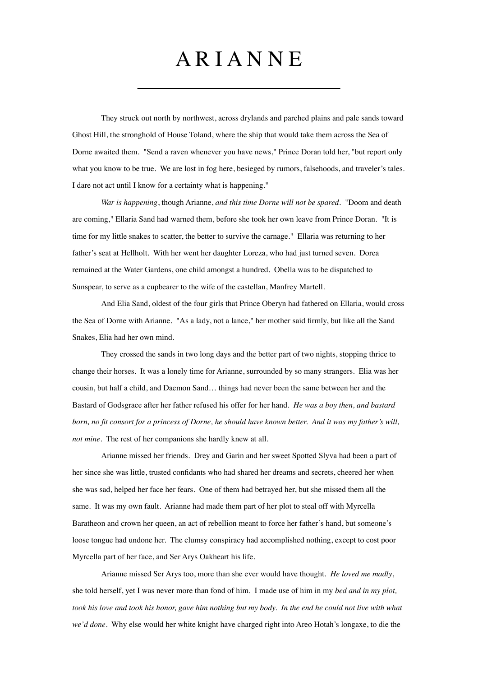## A R I A N N E

They struck out north by northwest, across drylands and parched plains and pale sands toward Ghost Hill, the stronghold of House Toland, where the ship that would take them across the Sea of Dorne awaited them. "Send a raven whenever you have news," Prince Doran told her, "but report only what you know to be true. We are lost in fog here, besieged by rumors, falsehoods, and traveler's tales. I dare not act until I know for a certainty what is happening."

""""" *War is happening*, though Arianne, *and this time Dorne will not be spared*. "Doom and death are coming," Ellaria Sand had warned them, before she took her own leave from Prince Doran. "It is time for my little snakes to scatter, the better to survive the carnage." Ellaria was returning to her father's seat at Hellholt. With her went her daughter Loreza, who had just turned seven. Dorea remained at the Water Gardens, one child amongst a hundred. Obella was to be dispatched to Sunspear, to serve as a cupbearer to the wife of the castellan, Manfrey Martell.

And Elia Sand, oldest of the four girls that Prince Oberyn had fathered on Ellaria, would cross the Sea of Dorne with Arianne. "As a lady, not a lance," her mother said firmly, but like all the Sand Snakes, Elia had her own mind.

They crossed the sands in two long days and the better part of two nights, stopping thrice to change their horses. It was a lonely time for Arianne, surrounded by so many strangers. Elia was her cousin, but half a child, and Daemon Sand… things had never been the same between her and the Bastard of Godsgrace after her father refused his offer for her hand. *He was a boy then, and bastard born, no fit consort for a princess of Dorne, he should have known better. And it was my father's will, not mine*. The rest of her companions she hardly knew at all.

Arianne missed her friends. Drey and Garin and her sweet Spotted Slyva had been a part of her since she was little, trusted confidants who had shared her dreams and secrets, cheered her when she was sad, helped her face her fears. One of them had betrayed her, but she missed them all the same. It was my own fault. Arianne had made them part of her plot to steal off with Myrcella Baratheon and crown her queen, an act of rebellion meant to force her father's hand, but someone's loose tongue had undone her. The clumsy conspiracy had accomplished nothing, except to cost poor Myrcella part of her face, and Ser Arys Oakheart his life.

Arianne missed Ser Arys too, more than she ever would have thought. *He loved me madly*, she told herself, yet I was never more than fond of him. I made use of him in my *bed and in my plot,*  took his love and took his honor, gave him nothing but my body. In the end he could not live with what *we'd done*. Why else would her white knight have charged right into Areo Hotah's longaxe, to die the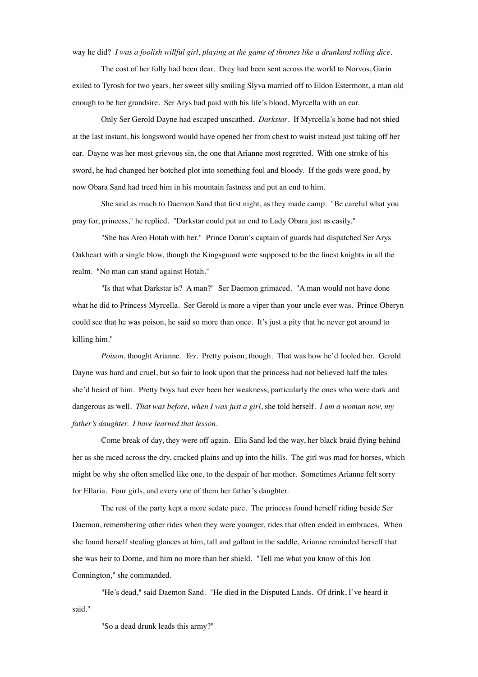way he did? *I was a foolish willful girl, playing at the game of thrones like a drunkard rolling dice.*

The cost of her folly had been dear. Drey had been sent across the world to Norvos, Garin exiled to Tyrosh for two years, her sweet silly smiling Slyva married off to Eldon Estermont, a man old enough to be her grandsire. Ser Arys had paid with his life's blood, Myrcella with an ear.

""""" Only Ser Gerold Dayne had escaped unscathed. *Darkstar*. If Myrcella's horse had not shied at the last instant, his longsword would have opened her from chest to waist instead just taking off her ear. Dayne was her most grievous sin, the one that Arianne most regretted. With one stroke of his sword, he had changed her botched plot into something foul and bloody. If the gods were good, by now Obara Sand had treed him in his mountain fastness and put an end to him.

She said as much to Daemon Sand that first night, as they made camp. "Be careful what you pray for, princess," he replied. "Darkstar could put an end to Lady Obara just as easily."

"She has Areo Hotah with her." Prince Doran's captain of guards had dispatched Ser Arys Oakheart with a single blow, though the Kingsguard were supposed to be the finest knights in all the realm. "No man can stand against Hotah."

"Is that what Darkstar is? A man?" Ser Daemon grimaced. "A man would not have done what he did to Princess Myrcella. Ser Gerold is more a viper than your uncle ever was. Prince Oberyn could see that he was poison, he said so more than once. It's just a pity that he never got around to killing him."

Poison, thought Arianne. *Yes.* Pretty poison, though. That was how he'd fooled her. Gerold Dayne was hard and cruel, but so fair to look upon that the princess had not believed half the tales she'd heard of him. Pretty boys had ever been her weakness, particularly the ones who were dark and dangerous as well. *That was before, when I was just a girl*, she told herself. *I am a woman now, my father's daughter. I have learned that lesson.*

Come break of day, they were off again. Elia Sand led the way, her black braid flying behind her as she raced across the dry, cracked plains and up into the hills. The girl was mad for horses, which might be why she often smelled like one, to the despair of her mother. Sometimes Arianne felt sorry for Ellaria. Four girls, and every one of them her father's daughter.

The rest of the party kept a more sedate pace. The princess found herself riding beside Ser Daemon, remembering other rides when they were younger, rides that often ended in embraces. When she found herself stealing glances at him, tall and gallant in the saddle, Arianne reminded herself that she was heir to Dorne, and him no more than her shield. "Tell me what you know of this Jon Connington," she commanded.

"He's dead," said Daemon Sand. "He died in the Disputed Lands. Of drink, I've heard it said."

"So a dead drunk leads this army?"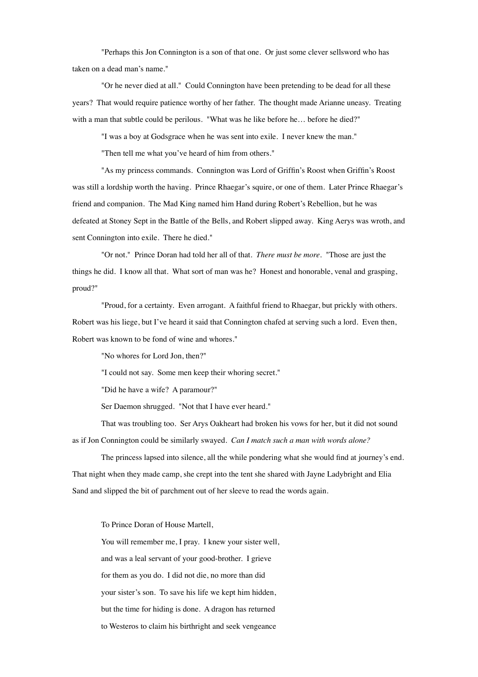"Perhaps this Jon Connington is a son of that one. Or just some clever sellsword who has taken on a dead man's name."

"Or he never died at all." Could Connington have been pretending to be dead for all these years? That would require patience worthy of her father. The thought made Arianne uneasy. Treating with a man that subtle could be perilous. "What was he like before he... before he died?"

"I was a boy at Godsgrace when he was sent into exile. I never knew the man."

"Then tell me what you've heard of him from others."

"As my princess commands. Connington was Lord of Griffin's Roost when Griffin's Roost was still a lordship worth the having. Prince Rhaegar's squire, or one of them. Later Prince Rhaegar's friend and companion. The Mad King named him Hand during Robert's Rebellion, but he was defeated at Stoney Sept in the Battle of the Bells, and Robert slipped away. King Aerys was wroth, and sent Connington into exile. There he died."

"Or not." Prince Doran had told her all of that. *There must be more*. "Those are just the things he did. I know all that. What sort of man was he? Honest and honorable, venal and grasping, proud?"

"Proud, for a certainty. Even arrogant. A faithful friend to Rhaegar, but prickly with others. Robert was his liege, but I've heard it said that Connington chafed at serving such a lord. Even then, Robert was known to be fond of wine and whores."

"No whores for Lord Jon, then?"

"I could not say. Some men keep their whoring secret."

"Did he have a wife? A paramour?"

Ser Daemon shrugged. "Not that I have ever heard."

That was troubling too. Ser Arys Oakheart had broken his vows for her, but it did not sound as if Jon Connington could be similarly swayed. *Can I match such a man with words alone?*

The princess lapsed into silence, all the while pondering what she would find at journey's end. That night when they made camp, she crept into the tent she shared with Jayne Ladybright and Elia Sand and slipped the bit of parchment out of her sleeve to read the words again.

To Prince Doran of House Martell,

You will remember me, I pray. I knew your sister well, and was a leal servant of your good-brother. I grieve for them as you do. I did not die, no more than did your sister's son. To save his life we kept him hidden, but the time for hiding is done. A dragon has returned to Westeros to claim his birthright and seek vengeance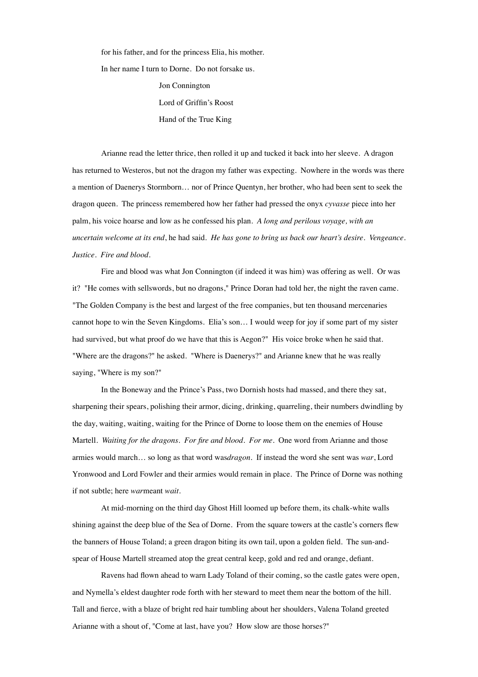for his father, and for the princess Elia, his mother. In her name I turn to Dorne. Do not forsake us. Jon Connington Lord of Griffin's Roost

Hand of the True King

Arianne read the letter thrice, then rolled it up and tucked it back into her sleeve. A dragon has returned to Westeros, but not the dragon my father was expecting. Nowhere in the words was there a mention of Daenerys Stormborn… nor of Prince Quentyn, her brother, who had been sent to seek the dragon queen. The princess remembered how her father had pressed the onyx *cyvasse* piece into her palm, his voice hoarse and low as he confessed his plan. *A long and perilous voyage, with an uncertain welcome at its end*, he had said. *He has gone to bring us back our heart's desire. Vengeance. Justice. Fire and blood.*

Fire and blood was what Jon Connington (if indeed it was him) was offering as well. Or was it? "He comes with sellswords, but no dragons," Prince Doran had told her, the night the raven came. "The Golden Company is the best and largest of the free companies, but ten thousand mercenaries cannot hope to win the Seven Kingdoms. Elia's son… I would weep for joy if some part of my sister had survived, but what proof do we have that this is Aegon?" His voice broke when he said that. "Where are the dragons?" he asked. "Where is Daenerys?" and Arianne knew that he was really saying, "Where is my son?"

In the Boneway and the Prince's Pass, two Dornish hosts had massed, and there they sat, sharpening their spears, polishing their armor, dicing, drinking, quarreling, their numbers dwindling by the day, waiting, waiting, waiting for the Prince of Dorne to loose them on the enemies of House Martell. *Waiting for the dragons. For fire and blood. For me*. One word from Arianne and those armies would march… so long as that word was*dragon*. If instead the word she sent was *war*, Lord Yronwood and Lord Fowler and their armies would remain in place. The Prince of Dorne was nothing if not subtle; here *war*meant *wait*.

At mid-morning on the third day Ghost Hill loomed up before them, its chalk-white walls shining against the deep blue of the Sea of Dorne. From the square towers at the castle's corners flew the banners of House Toland; a green dragon biting its own tail, upon a golden field. The sun-andspear of House Martell streamed atop the great central keep, gold and red and orange, defiant.

Ravens had flown ahead to warn Lady Toland of their coming, so the castle gates were open, and Nymella's eldest daughter rode forth with her steward to meet them near the bottom of the hill. Tall and fierce, with a blaze of bright red hair tumbling about her shoulders, Valena Toland greeted Arianne with a shout of, "Come at last, have you? How slow are those horses?"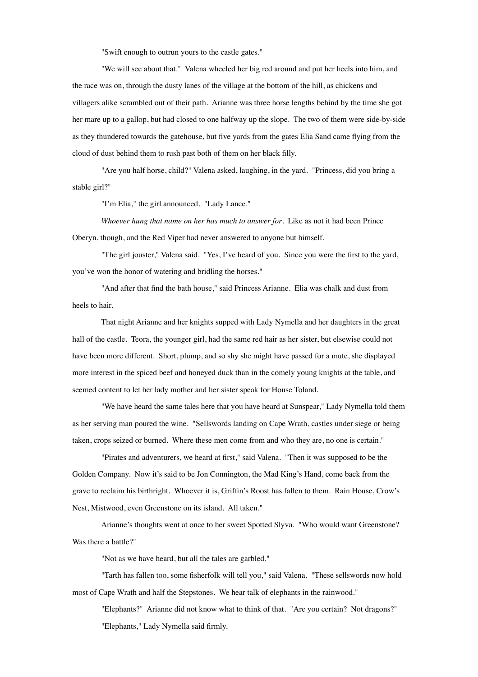"Swift enough to outrun yours to the castle gates."

"We will see about that." Valena wheeled her big red around and put her heels into him, and the race was on, through the dusty lanes of the village at the bottom of the hill, as chickens and villagers alike scrambled out of their path. Arianne was three horse lengths behind by the time she got her mare up to a gallop, but had closed to one halfway up the slope. The two of them were side-by-side as they thundered towards the gatehouse, but five yards from the gates Elia Sand came flying from the cloud of dust behind them to rush past both of them on her black filly.

"Are you half horse, child?" Valena asked, laughing, in the yard. "Princess, did you bring a stable girl?"

"I'm Elia," the girl announced. "Lady Lance."

Whoever hung that name on her has much to answer for. Like as not it had been Prince Oberyn, though, and the Red Viper had never answered to anyone but himself.

"The girl jouster," Valena said. "Yes, I've heard of you. Since you were the first to the yard, you've won the honor of watering and bridling the horses."

"And after that find the bath house," said Princess Arianne. Elia was chalk and dust from heels to hair.

That night Arianne and her knights supped with Lady Nymella and her daughters in the great hall of the castle. Teora, the younger girl, had the same red hair as her sister, but elsewise could not have been more different. Short, plump, and so shy she might have passed for a mute, she displayed more interest in the spiced beef and honeyed duck than in the comely young knights at the table, and seemed content to let her lady mother and her sister speak for House Toland.

"We have heard the same tales here that you have heard at Sunspear," Lady Nymella told them as her serving man poured the wine. "Sellswords landing on Cape Wrath, castles under siege or being taken, crops seized or burned. Where these men come from and who they are, no one is certain."

"Pirates and adventurers, we heard at first," said Valena. "Then it was supposed to be the Golden Company. Now it's said to be Jon Connington, the Mad King's Hand, come back from the grave to reclaim his birthright. Whoever it is, Griffin's Roost has fallen to them. Rain House, Crow's Nest, Mistwood, even Greenstone on its island. All taken."

Arianne's thoughts went at once to her sweet Spotted Slyva. "Who would want Greenstone? Was there a battle?"

"Not as we have heard, but all the tales are garbled."

"Tarth has fallen too, some fisherfolk will tell you," said Valena. "These sellswords now hold most of Cape Wrath and half the Stepstones. We hear talk of elephants in the rainwood."

"Elephants?" Arianne did not know what to think of that. "Are you certain? Not dragons?" "Elephants," Lady Nymella said firmly.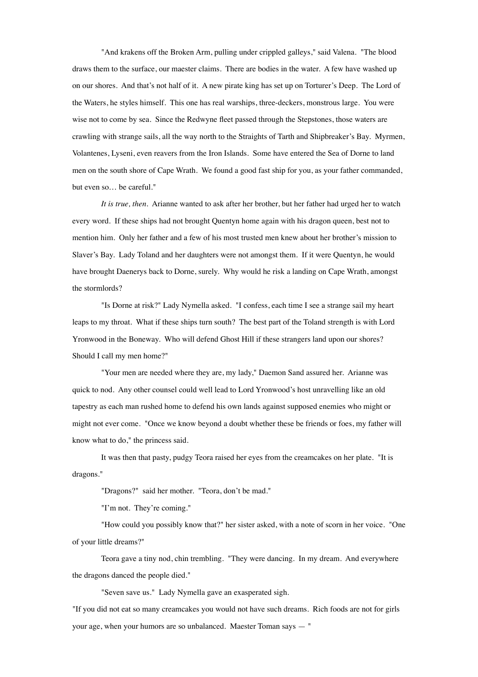"And krakens off the Broken Arm, pulling under crippled galleys," said Valena. "The blood draws them to the surface, our maester claims. There are bodies in the water. A few have washed up on our shores. And that's not half of it. A new pirate king has set up on Torturer's Deep. The Lord of the Waters, he styles himself. This one has real warships, three-deckers, monstrous large. You were wise not to come by sea. Since the Redwyne fleet passed through the Stepstones, those waters are crawling with strange sails, all the way north to the Straights of Tarth and Shipbreaker's Bay. Myrmen, Volantenes, Lyseni, even reavers from the Iron Islands. Some have entered the Sea of Dorne to land men on the south shore of Cape Wrath. We found a good fast ship for you, as your father commanded, but even so… be careful."

It is true, then. Arianne wanted to ask after her brother, but her father had urged her to watch every word. If these ships had not brought Quentyn home again with his dragon queen, best not to mention him. Only her father and a few of his most trusted men knew about her brother's mission to Slaver's Bay. Lady Toland and her daughters were not amongst them. If it were Quentyn, he would have brought Daenerys back to Dorne, surely. Why would he risk a landing on Cape Wrath, amongst the stormlords?

"Is Dorne at risk?" Lady Nymella asked. "I confess, each time I see a strange sail my heart leaps to my throat. What if these ships turn south? The best part of the Toland strength is with Lord Yronwood in the Boneway. Who will defend Ghost Hill if these strangers land upon our shores? Should I call my men home?"

"Your men are needed where they are, my lady," Daemon Sand assured her. Arianne was quick to nod. Any other counsel could well lead to Lord Yronwood's host unravelling like an old tapestry as each man rushed home to defend his own lands against supposed enemies who might or might not ever come. "Once we know beyond a doubt whether these be friends or foes, my father will know what to do," the princess said.

It was then that pasty, pudgy Teora raised her eyes from the creamcakes on her plate. "It is dragons."

"Dragons?" said her mother. "Teora, don't be mad."

"I'm not. They're coming."

"How could you possibly know that?" her sister asked, with a note of scorn in her voice. "One of your little dreams?"

Teora gave a tiny nod, chin trembling. "They were dancing. In my dream. And everywhere the dragons danced the people died."

"Seven save us." Lady Nymella gave an exasperated sigh.

"If you did not eat so many creamcakes you would not have such dreams. Rich foods are not for girls your age, when your humors are so unbalanced. Maester Toman says — "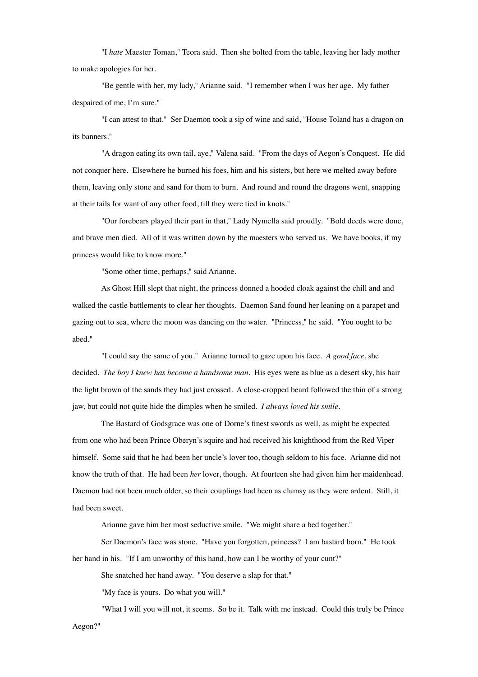"I *hate* Maester Toman," Teora said. Then she bolted from the table, leaving her lady mother to make apologies for her.

"Be gentle with her, my lady," Arianne said. "I remember when I was her age. My father despaired of me, I'm sure."

"I can attest to that." Ser Daemon took a sip of wine and said, "House Toland has a dragon on its banners."

"A dragon eating its own tail, aye," Valena said. "From the days of Aegon's Conquest. He did not conquer here. Elsewhere he burned his foes, him and his sisters, but here we melted away before them, leaving only stone and sand for them to burn. And round and round the dragons went, snapping at their tails for want of any other food, till they were tied in knots."

"Our forebears played their part in that," Lady Nymella said proudly. "Bold deeds were done, and brave men died. All of it was written down by the maesters who served us. We have books, if my princess would like to know more."

"Some other time, perhaps," said Arianne.

As Ghost Hill slept that night, the princess donned a hooded cloak against the chill and and walked the castle battlements to clear her thoughts. Daemon Sand found her leaning on a parapet and gazing out to sea, where the moon was dancing on the water. "Princess," he said. "You ought to be abed."

"I could say the same of you." Arianne turned to gaze upon his face. *A good face*, she decided. *The boy I knew has become a handsome man.* His eyes were as blue as a desert sky, his hair the light brown of the sands they had just crossed. A close-cropped beard followed the thin of a strong jaw, but could not quite hide the dimples when he smiled. *I always loved his smile.*

The Bastard of Godsgrace was one of Dorne's finest swords as well, as might be expected from one who had been Prince Oberyn's squire and had received his knighthood from the Red Viper himself. Some said that he had been her uncle's lover too, though seldom to his face. Arianne did not know the truth of that. He had been *her* lover, though. At fourteen she had given him her maidenhead. Daemon had not been much older, so their couplings had been as clumsy as they were ardent. Still, it had been sweet.

Arianne gave him her most seductive smile. "We might share a bed together."

Ser Daemon's face was stone. "Have you forgotten, princess? I am bastard born." He took her hand in his. "If I am unworthy of this hand, how can I be worthy of your cunt?"

She snatched her hand away. "You deserve a slap for that."

"My face is yours. Do what you will."

"What I will you will not, it seems. So be it. Talk with me instead. Could this truly be Prince Aegon?"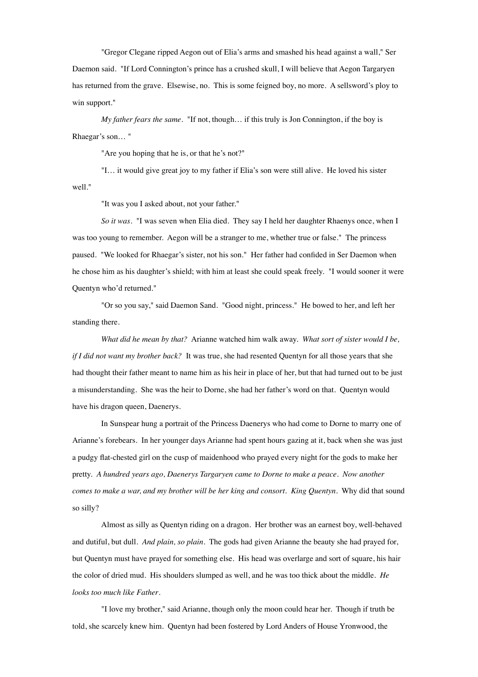"Gregor Clegane ripped Aegon out of Elia's arms and smashed his head against a wall," Ser Daemon said. "If Lord Connington's prince has a crushed skull, I will believe that Aegon Targaryen has returned from the grave. Elsewise, no. This is some feigned boy, no more. A sellsword's ploy to win support."

My father fears the same. "If not, though... if this truly is Jon Connington, if the boy is Rhaegar's son… "

"Are you hoping that he is, or that he's not?"

"I... it would give great joy to my father if Elia's son were still alive. He loved his sister well."

"It was you I asked about, not your father."

So it was. "I was seven when Elia died. They say I held her daughter Rhaenys once, when I was too young to remember. Aegon will be a stranger to me, whether true or false." The princess paused. "We looked for Rhaegar's sister, not his son." Her father had confided in Ser Daemon when he chose him as his daughter's shield; with him at least she could speak freely. "I would sooner it were Quentyn who'd returned."

"Or so you say," said Daemon Sand. "Good night, princess." He bowed to her, and left her standing there.

"""""" *What did he mean by that?* Arianne watched him walk away. *What sort of sister would I be, if I did not want my brother back?* It was true, she had resented Quentyn for all those years that she had thought their father meant to name him as his heir in place of her, but that had turned out to be just a misunderstanding. She was the heir to Dorne, she had her father's word on that. Quentyn would have his dragon queen, Daenerys.

In Sunspear hung a portrait of the Princess Daenerys who had come to Dorne to marry one of Arianne's forebears. In her younger days Arianne had spent hours gazing at it, back when she was just a pudgy flat-chested girl on the cusp of maidenhood who prayed every night for the gods to make her pretty. *A hundred years ago, Daenerys Targaryen came to Dorne to make a peace. Now another comes to make a war, and my brother will be her king and consort. King Quentyn.* Why did that sound so silly?

Almost as silly as Quentyn riding on a dragon. Her brother was an earnest boy, well-behaved and dutiful, but dull. *And plain, so plain*. The gods had given Arianne the beauty she had prayed for, but Quentyn must have prayed for something else. His head was overlarge and sort of square, his hair the color of dried mud. His shoulders slumped as well, and he was too thick about the middle. *He looks too much like Father*.

"I love my brother," said Arianne, though only the moon could hear her. Though if truth be told, she scarcely knew him. Quentyn had been fostered by Lord Anders of House Yronwood, the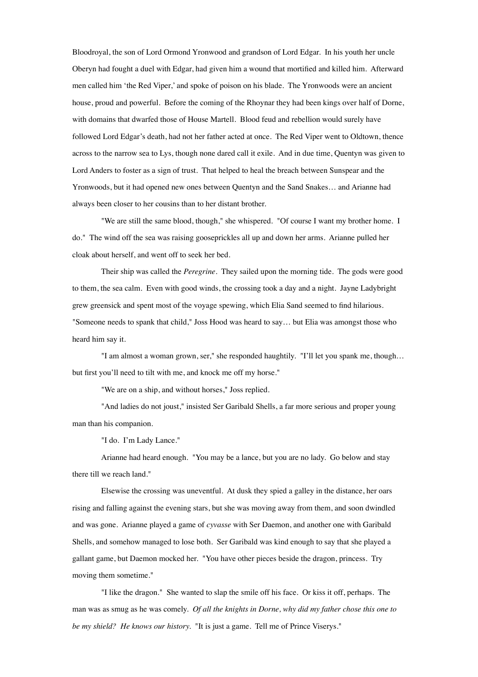Bloodroyal, the son of Lord Ormond Yronwood and grandson of Lord Edgar. In his youth her uncle Oberyn had fought a duel with Edgar, had given him a wound that mortified and killed him. Afterward men called him 'the Red Viper,' and spoke of poison on his blade. The Yronwoods were an ancient house, proud and powerful. Before the coming of the Rhoynar they had been kings over half of Dorne, with domains that dwarfed those of House Martell. Blood feud and rebellion would surely have followed Lord Edgar's death, had not her father acted at once. The Red Viper went to Oldtown, thence across to the narrow sea to Lys, though none dared call it exile. And in due time, Quentyn was given to Lord Anders to foster as a sign of trust. That helped to heal the breach between Sunspear and the Yronwoods, but it had opened new ones between Quentyn and the Sand Snakes… and Arianne had always been closer to her cousins than to her distant brother.

"We are still the same blood, though," she whispered. "Of course I want my brother home. I do." The wind off the sea was raising gooseprickles all up and down her arms. Arianne pulled her cloak about herself, and went off to seek her bed.

Their ship was called the *Peregrine*. They sailed upon the morning tide. The gods were good to them, the sea calm. Even with good winds, the crossing took a day and a night. Jayne Ladybright grew greensick and spent most of the voyage spewing, which Elia Sand seemed to find hilarious. "Someone needs to spank that child," Joss Hood was heard to say… but Elia was amongst those who heard him say it.

"I am almost a woman grown, ser," she responded haughtily. "I'll let you spank me, though... but first you'll need to tilt with me, and knock me off my horse."

"We are on a ship, and without horses," Joss replied.

"And ladies do not joust," insisted Ser Garibald Shells, a far more serious and proper young man than his companion.

"I do. I'm Lady Lance."

Arianne had heard enough. "You may be a lance, but you are no lady. Go below and stay there till we reach land."

Elsewise the crossing was uneventful. At dusk they spied a galley in the distance, her oars rising and falling against the evening stars, but she was moving away from them, and soon dwindled and was gone. Arianne played a game of *cyvasse* with Ser Daemon, and another one with Garibald Shells, and somehow managed to lose both. Ser Garibald was kind enough to say that she played a gallant game, but Daemon mocked her. "You have other pieces beside the dragon, princess. Try moving them sometime."

"I like the dragon." She wanted to slap the smile off his face. Or kiss it off, perhaps. The man was as smug as he was comely. *Of all the knights in Dorne, why did my father chose this one to be my shield? He knows our history.* "It is just a game. Tell me of Prince Viserys."